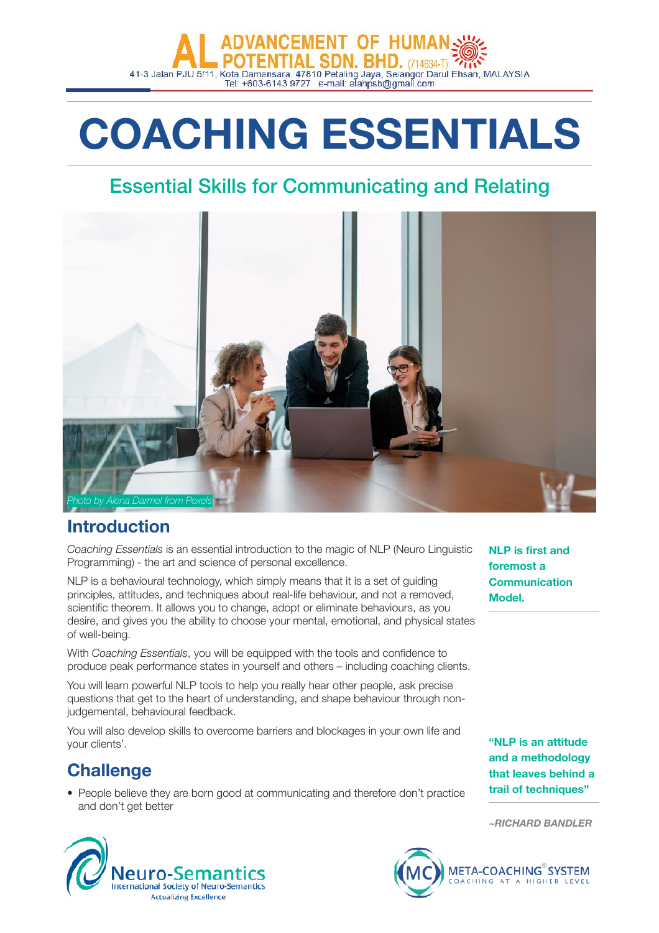# **CEMENT OF HUMAL** 41-3 Jalan PJU 5/11, Kota Damansara, 47810 Petaling Jaya, Selangor Darul Ehsan, MALAYSIA<br>Tel: +603-6143 9727 e-mail: alahpsb@gmail.com

# **COACHING ESSENTIALS**

## Essential Skills for Communicating and Relating



## **Introduction**

*Coaching Essentials* is an essential introduction to the magic of NLP (Neuro Linguistic Programming) - the art and science of personal excellence.

NLP is a behavioural technology, which simply means that it is a set of guiding principles, attitudes, and techniques about real-life behaviour, and not a removed, scientific theorem. It allows you to change, adopt or eliminate behaviours, as you desire, and gives you the ability to choose your mental, emotional, and physical states of well-being.

With *Coaching Essentials*, you will be equipped with the tools and confidence to produce peak performance states in yourself and others – including coaching clients.

You will learn powerful NLP tools to help you really hear other people, ask precise questions that get to the heart of understanding, and shape behaviour through nonjudgemental, behavioural feedback.

You will also develop skills to overcome barriers and blockages in your own life and your clients'.

## **Challenge**

• People believe they are born good at communicating and therefore don't practice and don't get better

**NLP is first and foremost a Communication Model.** 

**"NLP is an attitude and a methodology that leaves behind a trail of techniques"** 

*~RICHARD BANDLER*



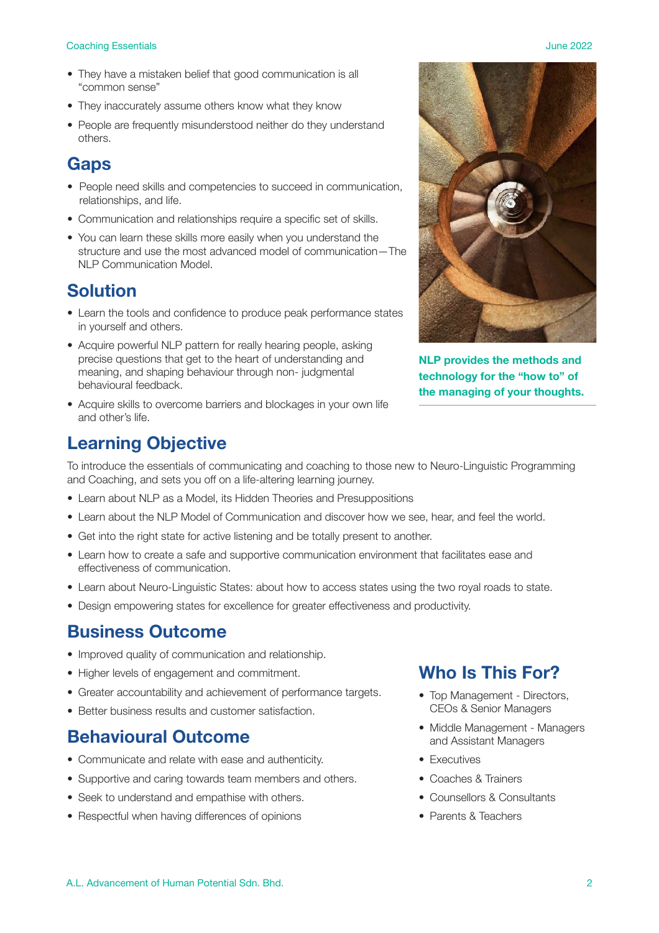#### **Coaching Essentials** June 2022

- They have a mistaken belief that good communication is all "common sense"
- They inaccurately assume others know what they know
- People are frequently misunderstood neither do they understand others.

## **Gaps**

- People need skills and competencies to succeed in communication, relationships, and life.
- Communication and relationships require a specific set of skills.
- You can learn these skills more easily when you understand the structure and use the most advanced model of communication—The NLP Communication Model

## **Solution**

- Learn the tools and confidence to produce peak performance states in yourself and others.
- Acquire powerful NLP pattern for really hearing people, asking precise questions that get to the heart of understanding and meaning, and shaping behaviour through non- judgmental behavioural feedback.
- Acquire skills to overcome barriers and blockages in your own life and other's life.

## **Learning Objective**

To introduce the essentials of communicating and coaching to those new to Neuro-Linguistic Programming and Coaching, and sets you off on a life-altering learning journey.

- Learn about NLP as a Model, its Hidden Theories and Presuppositions
- Learn about the NLP Model of Communication and discover how we see, hear, and feel the world.
- Get into the right state for active listening and be totally present to another.
- Learn how to create a safe and supportive communication environment that facilitates ease and effectiveness of communication.
- Learn about Neuro-Linguistic States: about how to access states using the two royal roads to state.
- Design empowering states for excellence for greater effectiveness and productivity.

### **Business Outcome**

- Improved quality of communication and relationship.
- Higher levels of engagement and commitment.
- Greater accountability and achievement of performance targets.
- Better business results and customer satisfaction.

## **Behavioural Outcome**

- Communicate and relate with ease and authenticity.
- Supportive and caring towards team members and others.
- Seek to understand and empathise with others.
- Respectful when having differences of opinions

## **Who Is This For?**

- Top Management Directors, CEOs & Senior Managers
- Middle Management Managers and Assistant Managers
- Executives
- Coaches & Trainers
- Counsellors & Consultants
- Parents & Teachers



**NLP provides the methods and technology for the "how to" of the managing of your thoughts.**